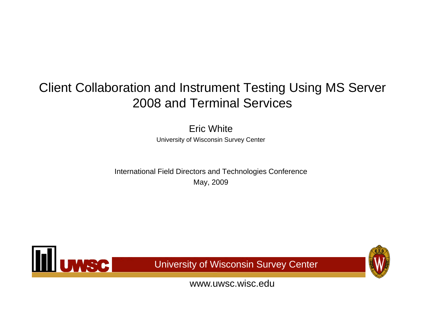#### Client Collaboration and Instrument Testing Using MS Server 2008 and Terminal Services

Eric WhiteUniversity of Wisconsin Survey Center

International Field Directors and Technologies Conference May, 2009



University of Wisconsin Survey Center

www.uwsc.wisc.edu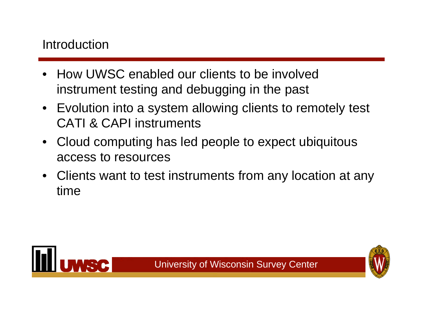#### Introduction

- • How UWSC enabled our clients to be involved instrument testing and debugging in the past
- Evolution into a system allowing clients to remotely test CATI & CAPI instruments
- Cloud computing has led people to expect ubiquitous access to resources
- Clients want to test instruments from any location at any time

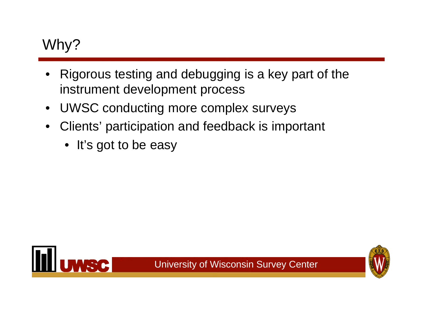## Why?

- • Rigorous testing and debugging is a key part of the instrument development process
- $\bullet$ UWSC conducting more complex surveys
- $\bullet$  Clients' participation and feedback is important
	- It's got to be easy



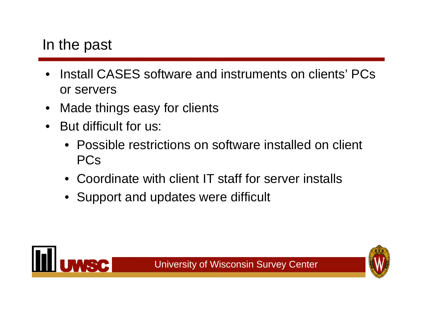#### In the past

- • Install CASES software and instruments on clients' PCs or servers
- $\bullet$ Made things easy for clients
- $\bullet$  But difficult for us:
	- Possible restrictions on software installed on client PCs
	- Coordinate with client IT staff for server installs
	- Support and updates were difficult

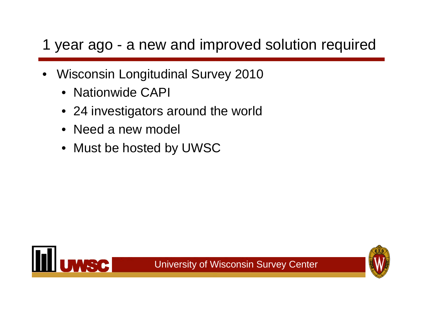## 1 year ago - a new and improved solution required

- • Wisconsin Longitudinal Survey 2010
	- Nationwide CAPI
	- 24 investigators around the world
	- Need a new model
	- Must be hosted by UWSC

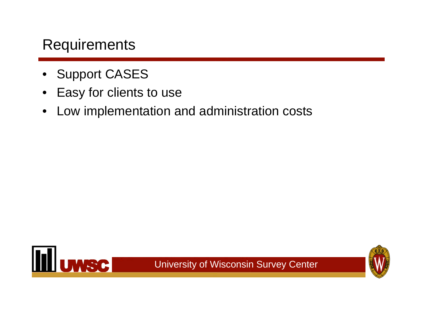#### **Requirements**

- •Support CASES
- •Easy for clients to use
- $\bullet$ Low implementation and administration costs



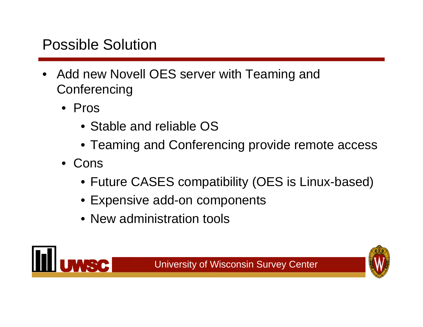### Possible Solution

- Add new Novell OES server with Teaming and **Conferencing** 
	- Pros
		- Stable and reliable OS
		- Teaming and Conferencing provide remote access
	- Cons
		- Future CASES compatibility (OES is Linux-based)
		- Expensive add-on components
		- New administration tools



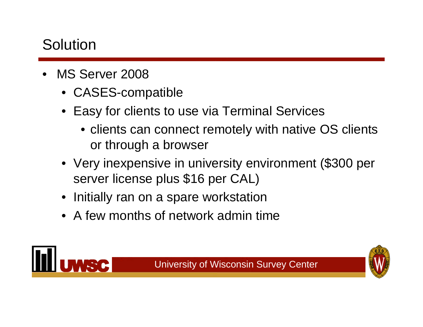### Solution

- • MS Server 2008
	- CASES-compatible
	- Easy for clients to use via Terminal Services
		- clients can connect remotely with native OS clients or through a browser

- Very inexpensive in university environment (\$300 per server license plus \$16 per CAL)
- •Initially ran on a spare workstation
- A few months of network admin time

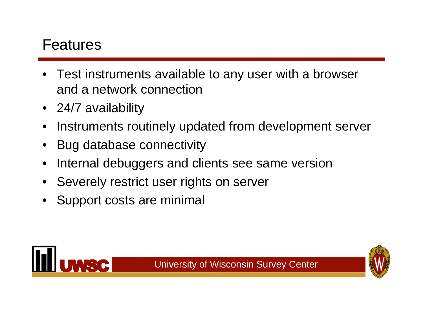#### Features

- • Test instruments available to any user with a browser and a network connection
- 24/7 availability
- •Instruments routinely updated from development server
- •Bug database connectivity
- •Internal debuggers and clients see same version
- •Severely restrict user rights on server
- •Support costs are minimal



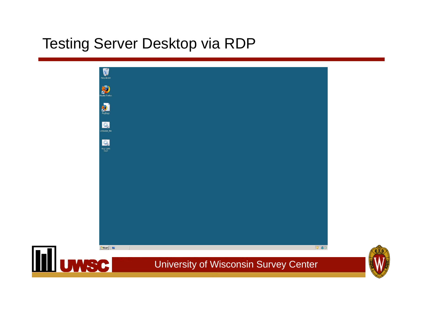#### Testing Server Desktop via RDP



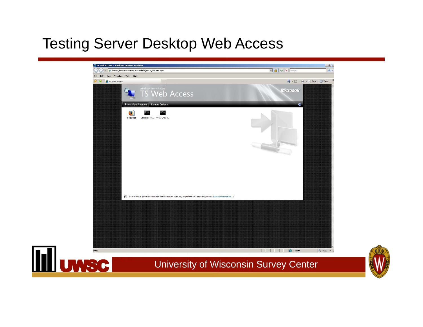#### Testing Server Desktop Web Access



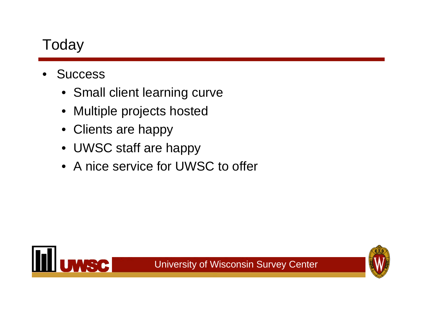### Today

- • Success
	- Small client learning curve
	- $\bullet$ Multiple projects hosted
	- Clients are happy
	- UWSC staff are happy
	- A nice service for UWSC to offer

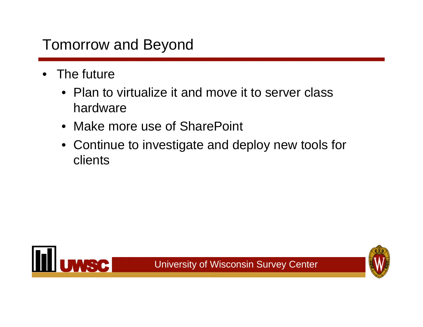### Tomorrow and Beyond

- • The future
	- Plan to virtualize it and move it to server class hardware
	- Make more use of SharePoint
	- Continue to investigate and deploy new tools for clients